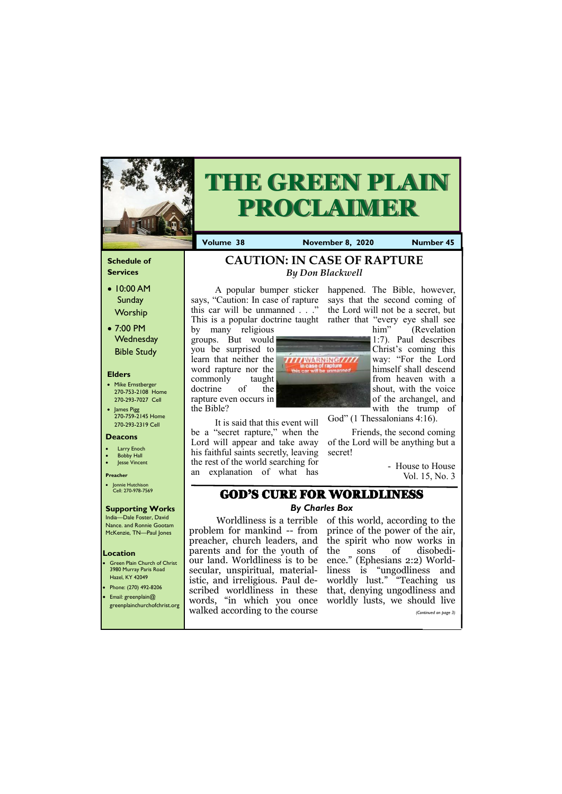### **Schedule of Services**

- 10:00 AM Sunday Worship
- 7:00 PM **Wednesday** Bible Study

### **Elders**

- Mike Ernstberger 270-753-2108 Home 270-293-7027 Cell
- James Pigg 270-759-2145 Home 270-293-2319 Cell

- Green Plain Church of Christ 3980 Murray Paris Road Hazel, KY 42049
- Phone: (270) 492-8206 • Email: greenplain@
- 

### **Location**



# **THE GREEN PLAIN PROCLAIMER**

**Volume 38 November 8, 2020 Number 45** 

#### **Deacons**

- **Larry Enoch**
- **Bobby Hall**
- **Jesse Vincent**

#### **Preacher**

• Jonnie Hutchison Cell: 270-978-7569

### **Supporting Works**

India—Dale Foster, David Nance. and Ronnie Gootam McKenzie, TN—Paul Jones

by many religious groups. But would you be surprised to learn that neither the word rapture nor the commonly taught doctrine of the rapture even occurs in the Bible?



Worldliness is a terrible of this world, according to the problem for mankind -- from prince of the power of the air, preacher, church leaders, and the spirit who now works in our land. Worldliness is to be ence." (Ephesians 2:2) Worldistic, and irreligious. Paul de-worldly lust." "Teaching us scribed worldliness in these that, denying ungodliness and sons of disobediliness is "ungodliness and  $m_{\rm c}$  is a should be shown that  $m_{\rm c}$ 

A popular bumper sticker happened. The Bible, however, says, "Caution: In case of rapture this car will be unmanned . . ." This is a popular doctrine taught rather that "every eye shall see

It is said that this event will be a "secret rapture," when the Lord will appear and take away his faithful saints secretly, leaving the rest of the world searching for an explanation of what has

says that the second coming of the Lord will not be a secret, but

| $\bullet$ Email: greenplain( $\alpha$ )<br>greenplainchurchofchrist.org |                                | words, "in which you once worldly lusts, we should live |  |  |  |                       |  |
|-------------------------------------------------------------------------|--------------------------------|---------------------------------------------------------|--|--|--|-----------------------|--|
|                                                                         | walked according to the course |                                                         |  |  |  | (Continued on page 3) |  |
|                                                                         |                                |                                                         |  |  |  |                       |  |

him" (Revelation 1:7). Paul describes Christ's coming this way: "For the Lord himself shall descend from heaven with a shout, with the voice of the archangel, and with the trump of

God" (1 Thessalonians 4:16).

Friends, the second coming of the Lord will be anything but a secret!

> - House to House Vol. 15, No. 3

# **CAUTION: IN CASE OF RAPTURE**  *By Don Blackwell*

# GOD'S CURE FOR WORLDLINESS

### *By Charles Box*

parents and for the youth of secular, unspiritual, material-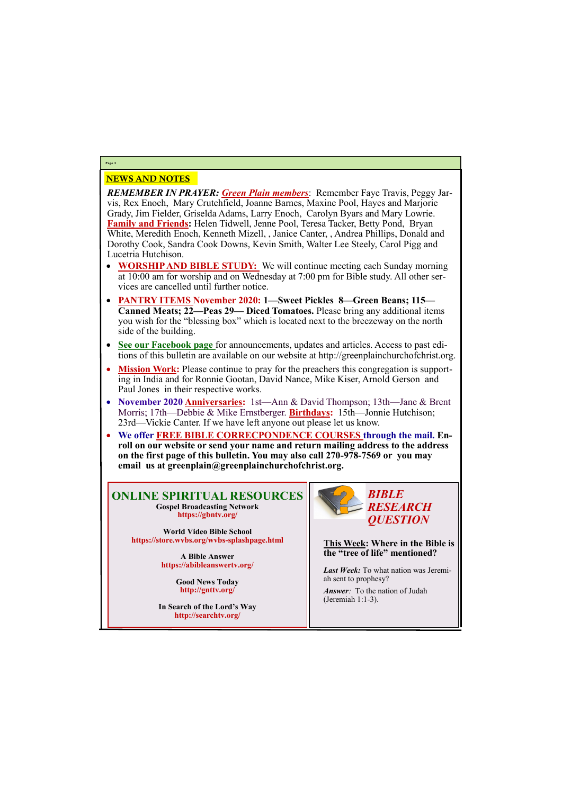## NEWS AND NOTES

*REMEMBER IN PRAYER: Green Plain members*: Remember Faye Travis, Peggy Jarvis, Rex Enoch, Mary Crutchfield, Joanne Barnes, Maxine Pool, Hayes and Marjorie Grady, Jim Fielder, Griselda Adams, Larry Enoch, Carolyn Byars and Mary Lowrie. **Family and Friends:** Helen Tidwell, Jenne Pool, Teresa Tacker, Betty Pond, Bryan White, Meredith Enoch, Kenneth Mizell, , Janice Canter, , Andrea Phillips, Donald and Dorothy Cook, Sandra Cook Downs, Kevin Smith, Walter Lee Steely, Carol Pigg and Lucetria Hutchison.

- **WORSHIP AND BIBLE STUDY:** We will continue meeting each Sunday morning at 10:00 am for worship and on Wednesday at 7:00 pm for Bible study. All other services are cancelled until further notice.
- **PANTRY ITEMS November 2020: 1—Sweet Pickles 8—Green Beans; 115— Canned Meats; 22—Peas 29— Diced Tomatoes.** Please bring any additional items you wish for the "blessing box" which is located next to the breezeway on the north side of the building.
- **See our Facebook page** for announcements, updates and articles. Access to past editions of this bulletin are available on our website at http://greenplainchurchofchrist.org.
- **Mission Work:** Please continue to pray for the preachers this congregation is supporting in India and for Ronnie Gootan, David Nance, Mike Kiser, Arnold Gerson and Paul Jones in their respective works.
- **November 2020 Anniversaries:** 1st—Ann & David Thompson; 13th—Jane & Brent Morris; 17th—Debbie & Mike Ernstberger. **Birthdays:** 15th—Jonnie Hutchison; 23rd—Vickie Canter. If we have left anyone out please let us know.
- **We offer FREE BIBLE CORRECPONDENCE COURSES through the mail. Enroll on our website or send your name and return mailing address to the address on the first page of this bulletin. You may also call 270-978-7569 or you may email us at greenplain@greenplainchurchofchrist.org.**

# **Page 2**

### **ONLINE SPIRITUAL RESOURCES Gospel Broadcasting Network https://gbntv.org/**

**World Video Bible School https://store.wvbs.org/wvbs-splashpage.html**

> **A Bible Answer https://abibleanswertv.org/**

> > **Good News Today http://gnttv.org/**

**In Search of the Lord's Way http://searchtv.org/**



**This Week: Where in the Bible is the "tree of life" mentioned?**

*Last Week:* To what nation was Jeremiah sent to prophesy?

*Answer:* To the nation of Judah

(Jeremiah 1:1-3).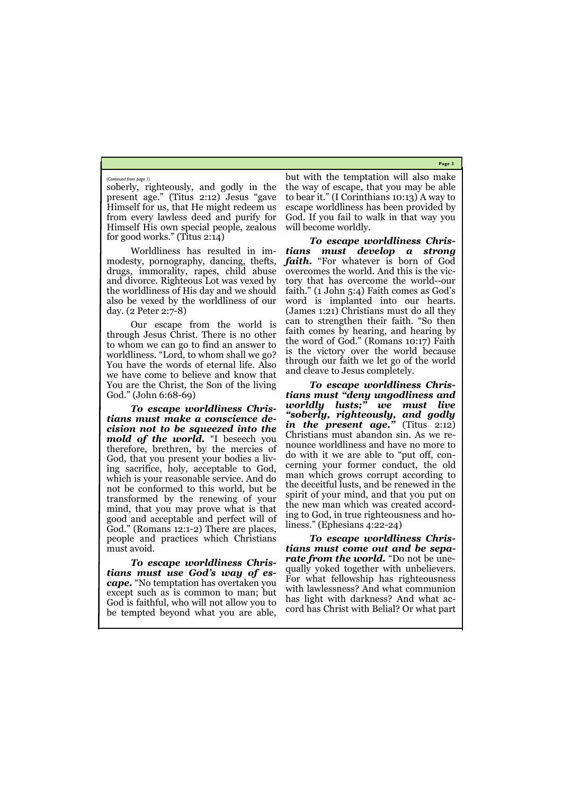**Page 3**

soberly, righteously, and godly in the present age." (Titus 2:12) Jesus "gave Himself for us, that He might redeem us from every lawless deed and purify for Himself His own special people, zealous for good works." (Titus 2:14)

Worldliness has resulted in immodesty, pornography, dancing, thefts, drugs, immorality, rapes, child abuse and divorce. Righteous Lot was vexed by the worldliness of His day and we should also be vexed by the worldliness of our day. (2 Peter 2:7-8)

Our escape from the world is through Jesus Christ. There is no other to whom we can go to find an answer to worldliness. "Lord, to whom shall we go? You have the words of eternal life. Also we have come to believe and know that You are the Christ, the Son of the living God." (John 6:68-69)

*To escape worldliness Christians must make a conscience decision not to be squeezed into the mold of the world.* "I beseech you therefore, brethren, by the mercies of God, that you present your bodies a living sacrifice, holy, acceptable to God, which is your reasonable service. And do not be conformed to this world, but be transformed by the renewing of your mind, that you may prove what is that good and acceptable and perfect will of God." (Romans 12:1-2) There are places, people and practices which Christians must avoid.

*To escape worldliness Christians must use God's way of escape.* "No temptation has overtaken you except such as is common to man; but God is faithful, who will not allow you to be tempted beyond what you are able,

but with the temptation will also make the way of escape, that you may be able to bear it." (I Corinthians 10:13) A way to escape worldliness has been provided by God. If you fail to walk in that way you will become worldly.

*To escape worldliness Christians must develop a strong faith.* "For whatever is born of God overcomes the world. And this is the victory that has overcome the world--our faith." (1 John 5:4) Faith comes as God's word is implanted into our hearts. (James 1:21) Christians must do all they can to strengthen their faith. "So then faith comes by hearing, and hearing by the word of God." (Romans 10:17) Faith is the victory over the world because through our faith we let go of the world and cleave to Jesus completely.

*To escape worldliness Christians must "deny ungodliness and worldly lusts;" we must live "soberly, righteously, and godly in the present age."* (Titus 2:12) Christians must abandon sin. As we renounce worldliness and have no more to do with it we are able to "put off, concerning your former conduct, the old man which grows corrupt according to the deceitful lusts, and be renewed in the spirit of your mind, and that you put on the new man which was created according to God, in true righteousness and holiness." (Ephesians 4:22-24)

*To escape worldliness Christians must come out and be separate from the world.* "Do not be unequally yoked together with unbelievers. For what fellowship has righteousness with lawlessness? And what communion has light with darkness? And what accord has Christ with Belial? Or what part

*(Continued from page 1)*